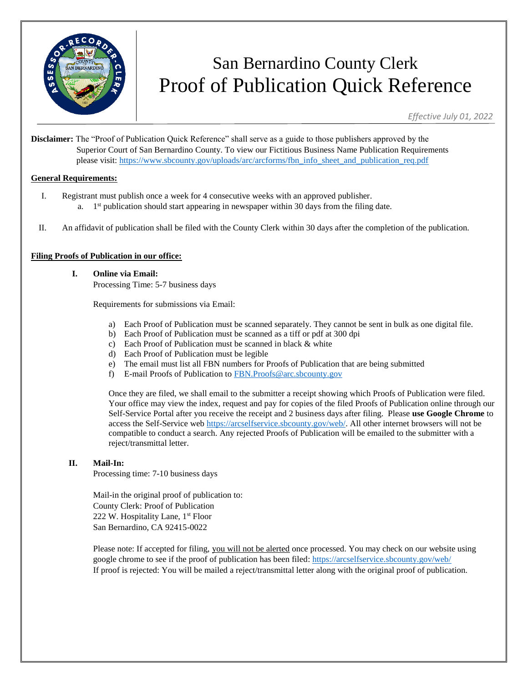

# San Bernardino County Clerk Proof of Publication Quick Reference

*Effective July 01, 2022*

**Disclaimer:** The "Proof of Publication Quick Reference" shall serve as a guide to those publishers approved by the Superior Court of San Bernardino County. To view our Fictitious Business Name Publication Requirements please visit: [https://www.sbcounty.gov/uploads/arc/arcforms/fbn\\_info\\_sheet\\_and\\_publication\\_req.pdf](https://www.sbcounty.gov/uploads/arc/arcforms/fbn_info_sheet_and_publication_req.pdf)

#### **General Requirements:**

- I. Registrant must publish once a week for 4 consecutive weeks with an approved publisher.
	- a.  $1<sup>st</sup>$  publication should start appearing in newspaper within 30 days from the filing date.
- II. An affidavit of publication shall be filed with the County Clerk within 30 days after the completion of the publication.

#### **Filing Proofs of Publication in our office:**

- **I. Online via Email:** 
	- Processing Time: 5-7 business days

Requirements for submissions via Email:

- a) Each Proof of Publication must be scanned separately. They cannot be sent in bulk as one digital file.
- b) Each Proof of Publication must be scanned as a tiff or pdf at 300 dpi
- c) Each Proof of Publication must be scanned in black & white
- d) Each Proof of Publication must be legible
- e) The email must list all FBN numbers for Proofs of Publication that are being submitted
- f) E-mail Proofs of Publication to [FBN.Proofs@arc.sbcounty.gov](mailto:FBN.Proofs@arc.sbcounty.gov)

Once they are filed, we shall email to the submitter a receipt showing which Proofs of Publication were filed. Your office may view the index, request and pay for copies of the filed Proofs of Publication online through our Self-Service Portal after you receive the receipt and 2 business days after filing. Please **use Google Chrome** to access the Self-Service web [https://arcselfservice.sbcounty.gov/web/.](https://arcselfservice.sbcounty.gov/web/) All other internet browsers will not be compatible to conduct a search. Any rejected Proofs of Publication will be emailed to the submitter with a reject/transmittal letter.

#### **II. Mail-In:**

Processing time: 7-10 business days

Mail-in the original proof of publication to: County Clerk: Proof of Publication 222 W. Hospitality Lane, 1<sup>st</sup> Floor San Bernardino, CA 92415-0022

Please note: If accepted for filing, you will not be alerted once processed. You may check on our website using google chrome to see if the proof of publication has been filed: <https://arcselfservice.sbcounty.gov/web/> If proof is rejected: You will be mailed a reject/transmittal letter along with the original proof of publication.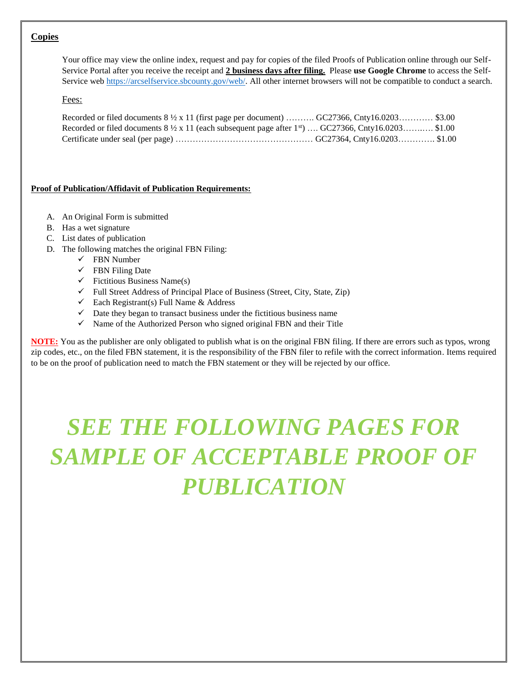### **Copies**

Your office may view the online index, request and pay for copies of the filed Proofs of Publication online through our Self-Service Portal after you receive the receipt and **2 business days after filing.** Please **use Google Chrome** to access the SelfService we[b https://arcselfservice.sbcounty.gov/web/.](https://arcselfservice.sbcounty.gov/web/) All other internet browsers will not be compatible to conduct a search.

#### Fees:

| Recorded or filed documents $8\frac{1}{2} \times 11$ (first page per document)  GC27366, Cnty16.0203 \$3.00                     |  |  |
|---------------------------------------------------------------------------------------------------------------------------------|--|--|
| Recorded or filed documents $8\frac{1}{2} \times 11$ (each subsequent page after 1 <sup>st</sup> )  GC27366, Cnty16.0203 \$1.00 |  |  |
|                                                                                                                                 |  |  |

#### **Proof of Publication/Affidavit of Publication Requirements:**

- A. An Original Form is submitted
- B. Has a wet signature
- C. List dates of publication
- D. The following matches the original FBN Filing:
	- ✓ FBN Number
	- $\checkmark$  FBN Filing Date
	- $\checkmark$  Fictitious Business Name(s)
	- ✓ Full Street Address of Principal Place of Business (Street, City, State, Zip)
	- $\checkmark$  Each Registrant(s) Full Name & Address
	- $\checkmark$  Date they began to transact business under the fictitious business name
	- $\checkmark$  Name of the Authorized Person who signed original FBN and their Title

**NOTE:** You as the publisher are only obligated to publish what is on the original FBN filing. If there are errors such as typos, wrong zip codes, etc., on the filed FBN statement, it is the responsibility of the FBN filer to refile with the correct information. Items required to be on the proof of publication need to match the FBN statement or they will be rejected by our office.

# *SEE THE FOLLOWING PAGES FOR*  **SAMPLE OF ACCEPTABLE PROOF OF** *PUBLICATION*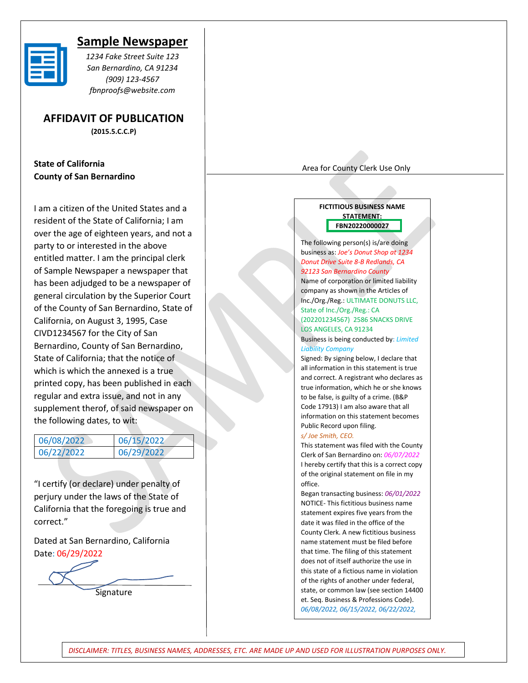

## **Sample Newspaper**

*1234 Fake Street Suite 123 San Bernardino, CA 91234 (909) 123-4567 fbnproofs@website.com*

**AFFIDAVIT OF PUBLICATION (2015.5.C.C.P)**

**State of California County of San Bernardino** 

I am a citizen of the United States and a resident of the State of California; I am over the age of eighteen years, and not a party to or interested in the above entitled matter. I am the principal clerk of Sample Newspaper a newspaper that has been adjudged to be a newspaper of general circulation by the Superior Court of the County of San Bernardino, State of California, on August 3, 1995, Case CIVD1234567 for the City of San Bernardino, County of San Bernardino, State of California; that the notice of which is which the annexed is a true printed copy, has been published in each regular and extra issue, and not in any supplement therof, of said newspaper on the following dates, to wit:

| 06/08/2022 | 06/15/2022 |
|------------|------------|
| 06/22/2022 | 06/29/2022 |

"I certify (or declare) under penalty of perjury under the laws of the State of California that the foregoing is true and correct."

Dated at San Bernardino, California Date: 06/29/2022

**Signature** 

Area for County Clerk Use Only

#### **FICTITIOUS BUSINESS NAME STATEMENT: FBN20220000027**

The following person(s) is/are doing business as: *Joe's Donut Shop at 1234 Donut Drive Suite 8-B Redlands, CA 92123 San Bernardino County*

Name of corporation or limited liability company as shown in the Articles of Inc./Org./Reg.: ULTIMATE DONUTS LLC, State of Inc./Org./Reg.: CA

(202201234567) 2586 SNACKS DRIVE LOS ANGELES, CA 91234

Business is being conducted by: *Limited Liability Company*

Signed: By signing below, I declare that all information in this statement is true and correct. A registrant who declares as true information, which he or she knows to be false, is guilty of a crime. (B&P Code 17913) I am also aware that all information on this statement becomes Public Record upon filing.

#### *s/ Joe Smith, CEO.*

*06/29/2022*

This statement was filed with the County Clerk of San Bernardino on: *06/07/2022* I hereby certify that this is a correct copy of the original statement on file in my office.

Began transacting business: *06/01/2022* NOTICE- This fictitious business name statement expires five years from the date it was filed in the office of the County Clerk. A new fictitious business name statement must be filed before that time. The filing of this statement does not of itself authorize the use in this state of a fictious name in violation of the rights of another under federal, state, or common law (see section 14400 et. Seq. Business & Professions Code). *06/08/2022, 06/15/2022, 06/22/2022,* 

*DISCLAIMER: TITLES, BUSINESS NAMES, ADDRESSES, ETC. ARE MADE UP AND USED FOR ILLUSTRATION PURPOSES ONLY.*